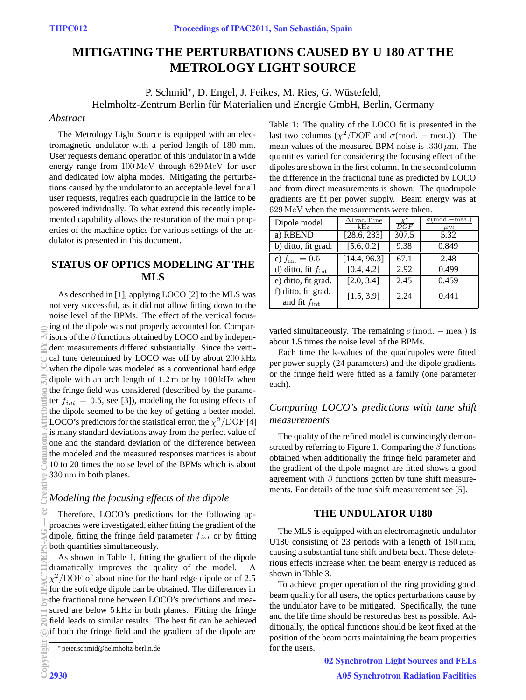# **MITIGATING THE PERTURBATIONS CAUSED BY U 180 AT THE METROLOGY LIGHT SOURCE**

P. Schmid<sup>∗</sup>, D. Engel, J. Feikes, M. Ries, G. Wüstefeld, Helmholtz-Zentrum Berlin für Materialien und Energie GmbH, Berlin, Germany

#### *Abstract*

The Metrology Light Source is equipped with an electromagnetic undulator with a period length of 180 mm. User requests demand operation of this undulator in a wide energy range from 100 MeV through 629 MeV for user and dedicated low alpha modes. Mitigating the perturbations caused by the undulator to an acceptable level for all user requests, requires each quadrupole in the lattice to be powered individually. To what extend this recently implemented capability allows the restoration of the main properties of the machine optics for various settings of the undulator is presented in this document.

# **STATUS OF OPTICS MODELING AT THE MLS**

As described in [1], applying LOCO [2] to the MLS was not very successful, as it did not allow fitting down to the noise level of the BPMs. The effect of the vertical focusing of the dipole was not properly accounted for. Comparisons of the  $\beta$  functions obtained by LOCO and by independent measurements differed substantially. Since the vertical tune determined by LOCO was off by about 200 kHz when the dipole was modeled as a conventional hard edge dipole with an arch length of  $1.2 \text{ m}$  or by  $100 \text{ kHz}$  when the fringe field was considered (described by the parameter  $f_{int} = 0.5$ , see [3]), modeling the focusing effects of the dipole seemed to be the key of getting a better model. LOCO's predictors for the statistical error, the  $\chi^2$ /DOF [4] is many standard deviations away from the perfect value of one and the standard deviation of the difference between the modeled and the measured responses matrices is about 10 to 20 times the noise level of the BPMs which is about 330 nm in both planes.

### *Modeling the focusing effects of the dipole*

Therefore, LOCO's predictions for the following approaches were investigated, either fitting the gradient of the dipole, fitting the fringe field parameter  $f_{int}$  or by fitting both quantities simultaneously.

As shown in Table 1, fitting the gradient of the dipole dramatically improves the quality of the model. A  $\chi^2$ /DOF of about nine for the hard edge dipole or of 2.5 for the soft edge dipole can be obtained. The differences in the fractional tune between LOCO's predictions and measured are below 5 kHz in both planes. Fitting the fringe field leads to similar results. The best fit can be achieved oif both the fringe field and the gradient of the dipole are

Table 1: The quality of the LOCO fit is presented in the last two columns ( $\chi^2$ /DOF and  $\sigma$ (mod. – mea.)). The mean values of the measured BPM noise is .330  $\mu$ m. The quantities varied for considering the focusing effect of the dipoles are shown in the first column. In the second column the difference in the fractional tune as predicted by LOCO and from direct measurements is shown. The quadrupole gradients are fit per power supply. Beam energy was at 629 MeV when the measurements were taken.

| Dipole model                                    | $\Delta$ Frac.Tune<br>kHz | DOF   | $\sigma$ (mod.-mea.<br>$\mu m$ |
|-------------------------------------------------|---------------------------|-------|--------------------------------|
| a) RBEND                                        | [28.6, 233]               | 307.5 | 5.32                           |
| b) ditto, fit grad.                             | [5.6, 0.2]                | 9.38  | 0.849                          |
| c) $f_{\rm int} = 0.5$                          | [14.4, 96.3]              | 67.1  | 2.48                           |
| $\overline{d}$ ) ditto, fit $f_{int}$           | [0.4, 4.2]                | 2.92  | 0.499                          |
| e) ditto, fit grad.                             | [2.0, 3.4]                | 2.45  | 0.459                          |
| f) ditto, fit grad.<br>and fit $f_{\text{int}}$ | [1.5, 3.9]                | 2.24  | 0.441                          |

varied simultaneously. The remaining  $\sigma$ (mod. – mea.) is about 1.5 times the noise level of the BPMs.

Each time the k-values of the quadrupoles were fitted per power supply (24 parameters) and the dipole gradients or the fringe field were fitted as a family (one parameter each).

# *Comparing LOCO's predictions with tune shift measurements*

The quality of the refined model is convincingly demonstrated by referring to Figure 1. Comparing the  $\beta$  functions obtained when additionally the fringe field parameter and the gradient of the dipole magnet are fitted shows a good agreement with  $\beta$  functions gotten by tune shift measurements. For details of the tune shift measurement see [5].

#### **THE UNDULATOR U180**

The MLS is equipped with an electromagnetic undulator U180 consisting of 23 periods with a length of 180 mm, causing a substantial tune shift and beta beat. These deleterious effects increase when the beam energy is reduced as shown in Table 3.

To achieve proper operation of the ring providing good beam quality for all users, the optics perturbations cause by the undulator have to be mitigated. Specifically, the tune and the life time should be restored as best as possible. Additionally, the optical functions should be kept fixed at the position of the beam ports maintaining the beam properties for the users.

> 02 Synchrotron Light Sources and FELs A05 Synchrotron Radiation Facilities

<sup>∗</sup> peter.schmid@helmholtz-berlin.de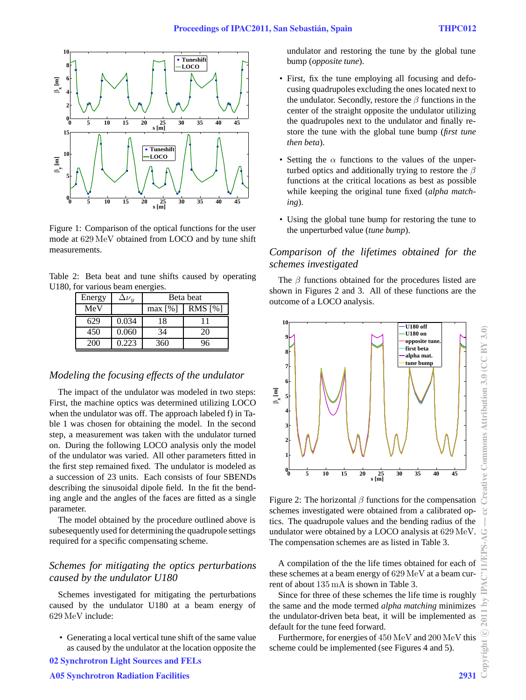

Figure 1: Comparison of the optical functions for the user mode at 629 MeV obtained from LOCO and by tune shift measurements.

Table 2: Beta beat and tune shifts caused by operating U180, for various beam energies.

| Energy | $\Delta {\nu}_u$ | Beta beat |           |
|--------|------------------|-----------|-----------|
| MeV    |                  | max [%]   | RMS $[%]$ |
| 629    | 0.034            | 18        | 11        |
| 450    | 0.060            | 34        | 20        |
| 200    | 0.223            | 360       | 96        |

#### *Modeling the focusing effects of the undulator*

The impact of the undulator was modeled in two steps: First, the machine optics was determined utilizing LOCO when the undulator was off. The approach labeled f) in Table 1 was chosen for obtaining the model. In the second step, a measurement was taken with the undulator turned on. During the following LOCO analysis only the model of the undulator was varied. All other parameters fitted in the first step remained fixed. The undulator is modeled as a succession of 23 units. Each consists of four SBENDs describing the sinusoidal dipole field. In the fit the bending angle and the angles of the faces are fitted as a single parameter.

The model obtained by the procedure outlined above is subesequently used for determining the quadrupole settings required for a specific compensating scheme.

# *Schemes for mitigating the optics perturbations caused by the undulator U180*

Schemes investigated for mitigating the perturbations caused by the undulator U180 at a beam energy of 629 MeV include:

• Generating a local vertical tune shift of the same value as caused by the undulator at the location opposite the

undulator and restoring the tune by the global tune bump (*opposite tune*).

- First, fix the tune employing all focusing and defocusing quadrupoles excluding the ones located next to the undulator. Secondly, restore the  $\beta$  functions in the center of the straight opposite the undulator utilizing the quadrupoles next to the undulator and finally restore the tune with the global tune bump (*first tune then beta*).
- Setting the  $\alpha$  functions to the values of the unperturbed optics and additionally trying to restore the  $\beta$ functions at the critical locations as best as possible while keeping the original tune fixed (*alpha matching*).
- Using the global tune bump for restoring the tune to the unperturbed value (*tune bump*).

# *Comparison of the lifetimes obtained for the schemes investigated*

The  $\beta$  functions obtained for the procedures listed are shown in Figures 2 and 3. All of these functions are the outcome of a LOCO analysis.



Figure 2: The horizontal  $\beta$  functions for the compensation schemes investigated were obtained from a calibrated optics. The quadrupole values and the bending radius of the undulator were obtained by a LOCO analysis at 629 MeV. The compensation schemes are as listed in Table 3.

A compilation of the the life times obtained for each of these schemes at a beam energy of 629 MeV at a beam current of about 135 mA is shown in Table 3.

Since for three of these schemes the life time is roughly the same and the mode termed *alpha matching* minimizes the undulator-driven beta beat, it will be implemented as default for the tune feed forward.

Furthermore, for energies of 450 MeV and 200 MeV this scheme could be implemented (see Figures 4 and 5).